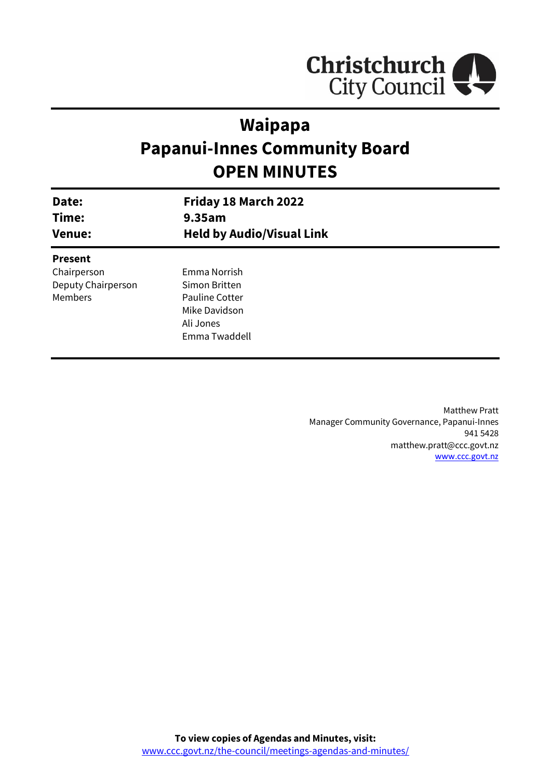

# **Waipapa Papanui-Innes Community Board OPEN MINUTES**

| Date:<br>Time:<br><b>Venue:</b> | Friday 18 March 2022<br>9.35am<br><b>Held by Audio/Visual Link</b> |  |
|---------------------------------|--------------------------------------------------------------------|--|
| <b>Present</b>                  |                                                                    |  |
| Chairperson                     | Emma Norrish                                                       |  |
| Deputy Chairperson              | Simon Britten                                                      |  |
| <b>Members</b>                  | <b>Pauline Cotter</b>                                              |  |
|                                 | Mike Davidson                                                      |  |
|                                 | Ali Jones                                                          |  |
|                                 | Emma Twaddell                                                      |  |
|                                 |                                                                    |  |

Matthew Pratt Manager Community Governance, Papanui-Innes 941 5428 matthew.pratt@ccc.govt.nz [www.ccc.govt.nz](http://www.ccc.govt.nz/)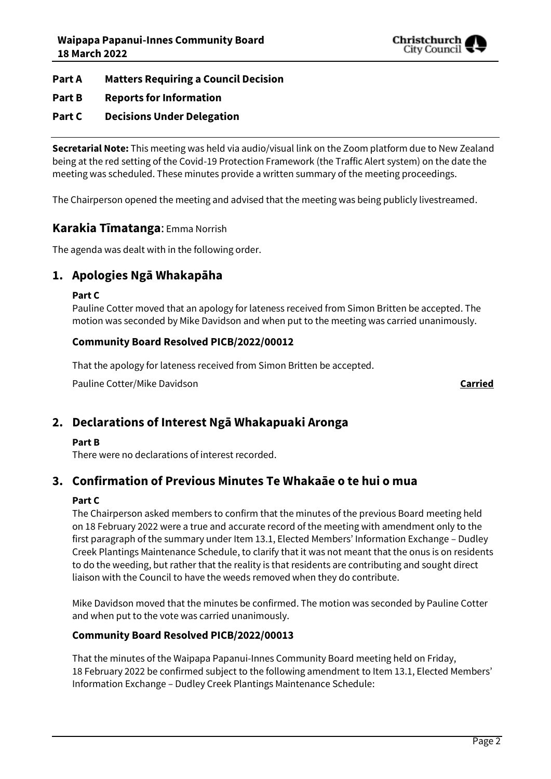

#### **Part A Matters Requiring a Council Decision**

#### **Part B Reports for Information**

### **Part C Decisions Under Delegation**

**Secretarial Note:** This meeting was held via audio/visual link on the Zoom platform due to New Zealand being at the red setting of the Covid-19 Protection Framework (the Traffic Alert system) on the date the meeting was scheduled. These minutes provide a written summary of the meeting proceedings.

The Chairperson opened the meeting and advised that the meeting was being publicly livestreamed.

### **Karakia Tīmatanga**: Emma Norrish

The agenda was dealt with in the following order.

# **1. Apologies Ngā Whakapāha**

#### **Part C**

Pauline Cotter moved that an apology for lateness received from Simon Britten be accepted. The motion was seconded by Mike Davidson and when put to the meeting was carried unanimously.

#### **Community Board Resolved PICB/2022/00012**

That the apology for lateness received from Simon Britten be accepted.

Pauline Cotter/Mike Davidson **Carried**

# **2. Declarations of Interest Ngā Whakapuaki Aronga**

#### **Part B**

There were no declarations of interest recorded.

# **3. Confirmation of Previous Minutes Te Whakaāe o te hui o mua**

#### **Part C**

The Chairperson asked members to confirm that the minutes of the previous Board meeting held on 18 February 2022 were a true and accurate record of the meeting with amendment only to the first paragraph of the summary under Item 13.1, Elected Members' Information Exchange – Dudley Creek Plantings Maintenance Schedule, to clarify that it was not meant that the onus is on residents to do the weeding, but rather that the reality is that residents are contributing and sought direct liaison with the Council to have the weeds removed when they do contribute.

Mike Davidson moved that the minutes be confirmed. The motion was seconded by Pauline Cotter and when put to the vote was carried unanimously.

#### **Community Board Resolved PICB/2022/00013**

That the minutes of the Waipapa Papanui-Innes Community Board meeting held on Friday, 18 February 2022 be confirmed subject to the following amendment to Item 13.1, Elected Members' Information Exchange – Dudley Creek Plantings Maintenance Schedule: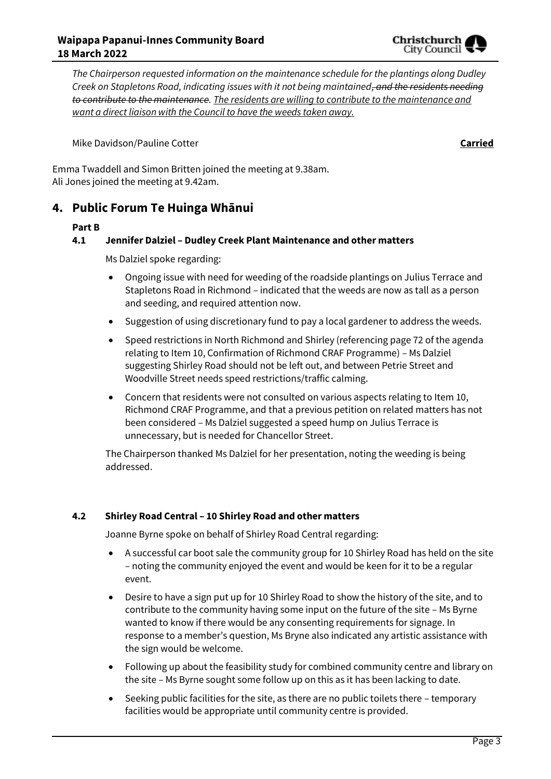*The Chairperson requested information on the maintenance schedule for the plantings along Dudley Creek on Stapletons Road, indicating issues with it not being maintained, and the residents needing to contribute to the maintenance. The residents are willing to contribute to the maintenance and want a direct liaison with the Council to have the weeds taken away.*

Mike Davidson/Pauline Cotter **Carried**

Emma Twaddell and Simon Britten joined the meeting at 9.38am. Ali Jones joined the meeting at 9.42am.

# **4. Public Forum Te Huinga Whānui**

#### **Part B**

#### **4.1 Jennifer Dalziel – Dudley Creek Plant Maintenance and other matters**

Ms Dalziel spoke regarding:

- Ongoing issue with need for weeding of the roadside plantings on Julius Terrace and Stapletons Road in Richmond – indicated that the weeds are now as tall as a person and seeding, and required attention now.
- Suggestion of using discretionary fund to pay a local gardener to address the weeds.
- Speed restrictions in North Richmond and Shirley (referencing page 72 of the agenda relating to Item 10, Confirmation of Richmond CRAF Programme) – Ms Dalziel suggesting Shirley Road should not be left out, and between Petrie Street and Woodville Street needs speed restrictions/traffic calming.
- Concern that residents were not consulted on various aspects relating to Item 10, Richmond CRAF Programme, and that a previous petition on related matters has not been considered – Ms Dalziel suggested a speed hump on Julius Terrace is unnecessary, but is needed for Chancellor Street.

The Chairperson thanked Ms Dalziel for her presentation, noting the weeding is being addressed.

#### **4.2 Shirley Road Central – 10 Shirley Road and other matters**

Joanne Byrne spoke on behalf of Shirley Road Central regarding:

- A successful car boot sale the community group for 10 Shirley Road has held on the site – noting the community enjoyed the event and would be keen for it to be a regular event.
- Desire to have a sign put up for 10 Shirley Road to show the history of the site, and to contribute to the community having some input on the future of the site – Ms Byrne wanted to know if there would be any consenting requirements for signage. In response to a member's question, Ms Bryne also indicated any artistic assistance with the sign would be welcome.
- Following up about the feasibility study for combined community centre and library on the site – Ms Byrne sought some follow up on this as it has been lacking to date.
- Seeking public facilities for the site, as there are no public toilets there temporary facilities would be appropriate until community centre is provided.

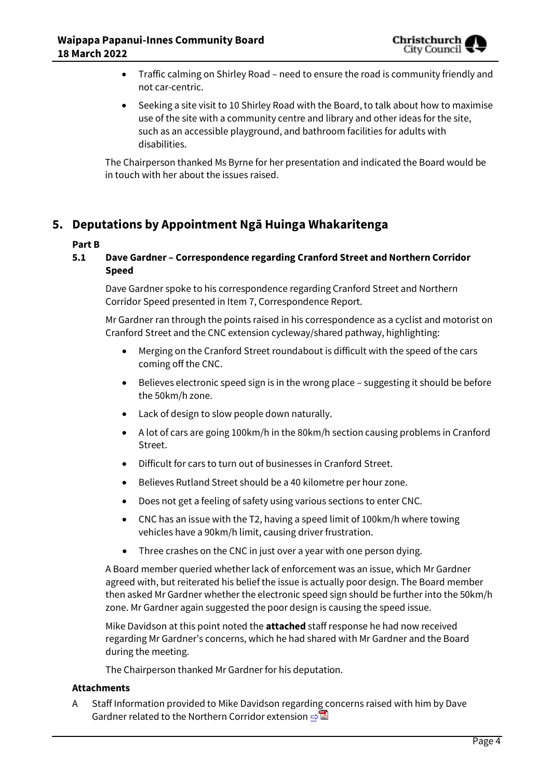

- Traffic calming on Shirley Road need to ensure the road is community friendly and not car-centric.
- Seeking a site visit to 10 Shirley Road with the Board, to talk about how to maximise use of the site with a community centre and library and other ideas for the site, such as an accessible playground, and bathroom facilities for adults with disabilities.

The Chairperson thanked Ms Byrne for her presentation and indicated the Board would be in touch with her about the issues raised.

# **5. Deputations by Appointment Ngā Huinga Whakaritenga**

#### **Part B**

#### **5.1 Dave Gardner – Correspondence regarding Cranford Street and Northern Corridor Speed**

Dave Gardner spoke to his correspondence regarding Cranford Street and Northern Corridor Speed presented in Item 7, Correspondence Report.

Mr Gardner ran through the points raised in his correspondence as a cyclist and motorist on Cranford Street and the CNC extension cycleway/shared pathway, highlighting:

- Merging on the Cranford Street roundabout is difficult with the speed of the cars coming off the CNC.
- Believes electronic speed sign is in the wrong place suggesting it should be before the 50km/h zone.
- Lack of design to slow people down naturally.
- A lot of cars are going 100km/h in the 80km/h section causing problems in Cranford Street.
- Difficult for cars to turn out of businesses in Cranford Street.
- Believes Rutland Street should be a 40 kilometre per hour zone.
- Does not get a feeling of safety using various sections to enter CNC.
- CNC has an issue with the T2, having a speed limit of 100km/h where towing vehicles have a 90km/h limit, causing driver frustration.
- Three crashes on the CNC in just over a year with one person dying.

A Board member queried whether lack of enforcement was an issue, which Mr Gardner agreed with, but reiterated his belief the issue is actually poor design. The Board member then asked Mr Gardner whether the electronic speed sign should be further into the 50km/h zone. Mr Gardner again suggested the poor design is causing the speed issue.

Mike Davidson at this point noted the **attached** staff response he had now received regarding Mr Gardner's concerns, which he had shared with Mr Gardner and the Board during the meeting.

The Chairperson thanked Mr Gardner for his deputation.

#### **Attachments**

A Staff Information provided to Mike Davidson regarding concerns raised with him by Dave Gardner related to the Northern Corridor extension [⇨](../../../RedirectToInvalidFileName.aspx?FileName=PICB_20220318_MAT_7645.PDF#PAGE=1)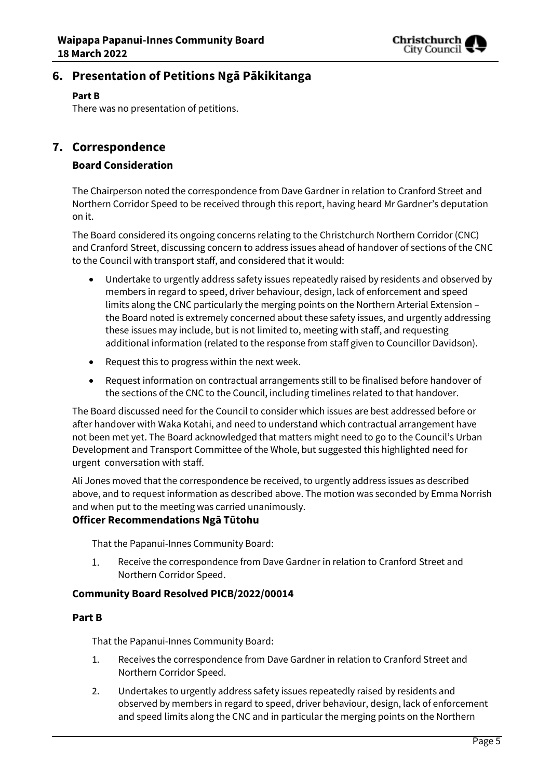

# **6. Presentation of Petitions Ngā Pākikitanga**

#### **Part B**

There was no presentation of petitions.

### **7. Correspondence**

#### **Board Consideration**

The Chairperson noted the correspondence from Dave Gardner in relation to Cranford Street and Northern Corridor Speed to be received through this report, having heard Mr Gardner's deputation on it.

The Board considered its ongoing concerns relating to the Christchurch Northern Corridor (CNC) and Cranford Street, discussing concern to address issues ahead of handover of sections of the CNC to the Council with transport staff, and considered that it would:

- Undertake to urgently address safety issues repeatedly raised by residents and observed by members in regard to speed, driver behaviour, design, lack of enforcement and speed limits along the CNC particularly the merging points on the Northern Arterial Extension – the Board noted is extremely concerned about these safety issues, and urgently addressing these issues may include, but is not limited to, meeting with staff, and requesting additional information (related to the response from staff given to Councillor Davidson).
- Request this to progress within the next week.
- Request information on contractual arrangements still to be finalised before handover of the sections of the CNC to the Council, including timelines related to that handover.

The Board discussed need for the Council to consider which issues are best addressed before or after handover with Waka Kotahi, and need to understand which contractual arrangement have not been met yet. The Board acknowledged that matters might need to go to the Council's Urban Development and Transport Committee of the Whole, but suggested this highlighted need for urgent conversation with staff.

Ali Jones moved that the correspondence be received, to urgently address issues as described above, and to request information as described above. The motion was seconded by Emma Norrish and when put to the meeting was carried unanimously.

#### **Officer Recommendations Ngā Tūtohu**

That the Papanui-Innes Community Board:

 $1.$ Receive the correspondence from Dave Gardner in relation to Cranford Street and Northern Corridor Speed.

#### **Community Board Resolved PICB/2022/00014**

#### **Part B**

That the Papanui-Innes Community Board:

- 1. Receives the correspondence from Dave Gardner in relation to Cranford Street and Northern Corridor Speed.
- 2. Undertakes to urgently address safety issues repeatedly raised by residents and observed by members in regard to speed, driver behaviour, design, lack of enforcement and speed limits along the CNC and in particular the merging points on the Northern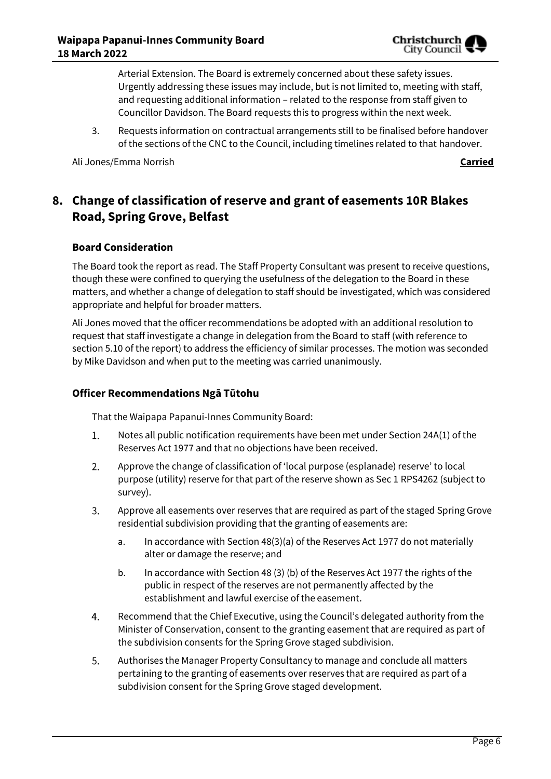

Arterial Extension. The Board is extremely concerned about these safety issues. Urgently addressing these issues may include, but is not limited to, meeting with staff, and requesting additional information – related to the response from staff given to Councillor Davidson. The Board requests this to progress within the next week.

3. Requests information on contractual arrangements still to be finalised before handover of the sections of the CNC to the Council, including timelines related to that handover.

Ali Jones/Emma Norrish **Carried**

# **8. Change of classification of reserve and grant of easements 10R Blakes Road, Spring Grove, Belfast**

#### **Board Consideration**

The Board took the report as read. The Staff Property Consultant was present to receive questions, though these were confined to querying the usefulness of the delegation to the Board in these matters, and whether a change of delegation to staff should be investigated, which was considered appropriate and helpful for broader matters.

Ali Jones moved that the officer recommendations be adopted with an additional resolution to request that staff investigate a change in delegation from the Board to staff (with reference to section 5.10 of the report) to address the efficiency of similar processes. The motion was seconded by Mike Davidson and when put to the meeting was carried unanimously.

#### **Officer Recommendations Ngā Tūtohu**

That the Waipapa Papanui-Innes Community Board:

- 1. Notes all public notification requirements have been met under Section 24A(1) of the Reserves Act 1977 and that no objections have been received.
- 2. Approve the change of classification of 'local purpose (esplanade) reserve' to local purpose (utility) reserve for that part of the reserve shown as Sec 1 RPS4262 (subject to survey).
- 3. Approve all easements over reserves that are required as part of the staged Spring Grove residential subdivision providing that the granting of easements are:
	- a. In accordance with Section 48(3)(a) of the Reserves Act 1977 do not materially alter or damage the reserve; and
	- b. In accordance with Section 48 (3) (b) of the Reserves Act 1977 the rights of the public in respect of the reserves are not permanently affected by the establishment and lawful exercise of the easement.
- Recommend that the Chief Executive, using the Council's delegated authority from the 4. Minister of Conservation, consent to the granting easement that are required as part of the subdivision consents for the Spring Grove staged subdivision.
- 5. Authorises the Manager Property Consultancy to manage and conclude all matters pertaining to the granting of easements over reserves that are required as part of a subdivision consent for the Spring Grove staged development.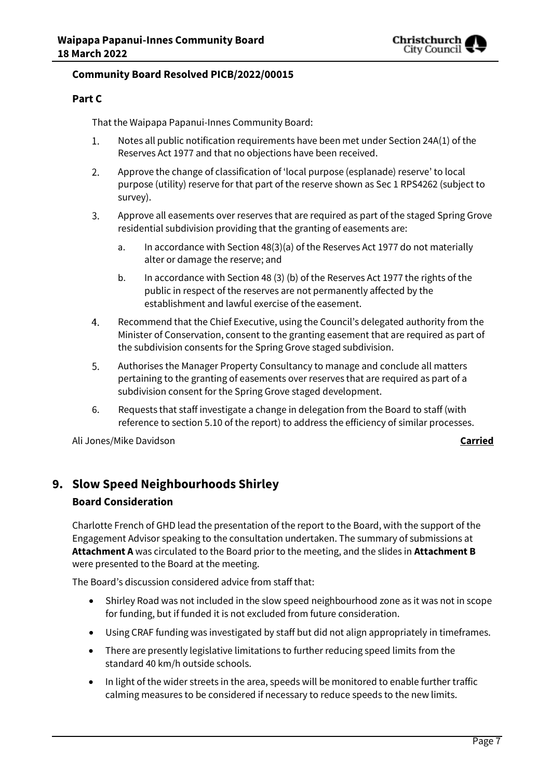

#### **Community Board Resolved PICB/2022/00015**

#### **Part C**

That the Waipapa Papanui-Innes Community Board:

- Notes all public notification requirements have been met under Section 24A(1) of the 1. Reserves Act 1977 and that no objections have been received.
- $2.$ Approve the change of classification of 'local purpose (esplanade) reserve' to local purpose (utility) reserve for that part of the reserve shown as Sec 1 RPS4262 (subject to survey).
- 3. Approve all easements over reserves that are required as part of the staged Spring Grove residential subdivision providing that the granting of easements are:
	- a. In accordance with Section 48(3)(a) of the Reserves Act 1977 do not materially alter or damage the reserve; and
	- b. In accordance with Section 48 (3) (b) of the Reserves Act 1977 the rights of the public in respect of the reserves are not permanently affected by the establishment and lawful exercise of the easement.
- $\overline{4}$ . Recommend that the Chief Executive, using the Council's delegated authority from the Minister of Conservation, consent to the granting easement that are required as part of the subdivision consents for the Spring Grove staged subdivision.
- 5. Authorises the Manager Property Consultancy to manage and conclude all matters pertaining to the granting of easements over reserves that are required as part of a subdivision consent for the Spring Grove staged development.
- 6. Requests that staff investigate a change in delegation from the Board to staff (with reference to section 5.10 of the report) to address the efficiency of similar processes.

Ali Jones/Mike Davidson **Carried**

# **9. Slow Speed Neighbourhoods Shirley**

### **Board Consideration**

Charlotte French of GHD lead the presentation of the report to the Board, with the support of the Engagement Advisor speaking to the consultation undertaken. The summary of submissions at **Attachment A** was circulated to the Board prior to the meeting, and the slides in **Attachment B** were presented to the Board at the meeting.

The Board's discussion considered advice from staff that:

- Shirley Road was not included in the slow speed neighbourhood zone as it was not in scope for funding, but if funded it is not excluded from future consideration.
- Using CRAF funding was investigated by staff but did not align appropriately in timeframes.
- There are presently legislative limitations to further reducing speed limits from the standard 40 km/h outside schools.
- In light of the wider streets in the area, speeds will be monitored to enable further traffic calming measures to be considered if necessary to reduce speeds to the new limits.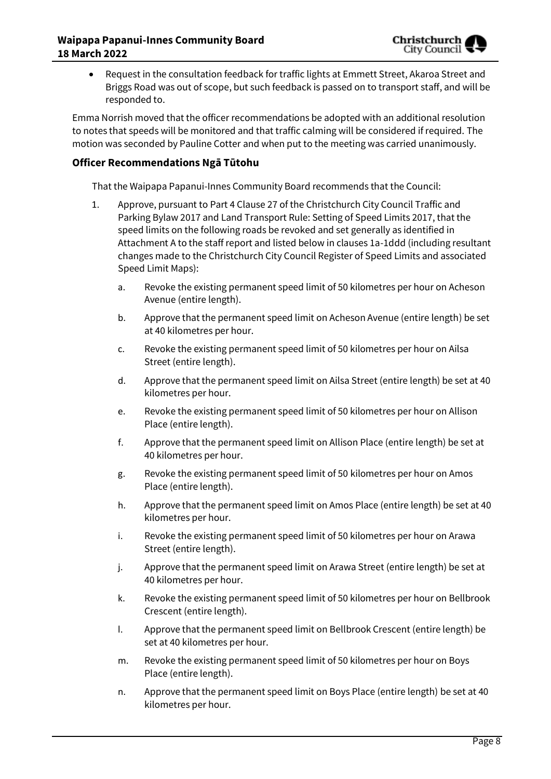Request in the consultation feedback for traffic lights at Emmett Street, Akaroa Street and Briggs Road was out of scope, but such feedback is passed on to transport staff, and will be responded to.

Emma Norrish moved that the officer recommendations be adopted with an additional resolution to notes that speeds will be monitored and that traffic calming will be considered if required. The motion was seconded by Pauline Cotter and when put to the meeting was carried unanimously.

#### **Officer Recommendations Ngā Tūtohu**

That the Waipapa Papanui-Innes Community Board recommends that the Council:

- 1. Approve, pursuant to Part 4 Clause 27 of the Christchurch City Council Traffic and Parking Bylaw 2017 and Land Transport Rule: Setting of Speed Limits 2017, that the speed limits on the following roads be revoked and set generally as identified in Attachment A to the staff report and listed below in clauses 1a-1ddd (including resultant changes made to the Christchurch City Council Register of Speed Limits and associated Speed Limit Maps):
	- a. Revoke the existing permanent speed limit of 50 kilometres per hour on Acheson Avenue (entire length).
	- b. Approve that the permanent speed limit on Acheson Avenue (entire length) be set at 40 kilometres per hour.
	- c. Revoke the existing permanent speed limit of 50 kilometres per hour on Ailsa Street (entire length).
	- d. Approve that the permanent speed limit on Ailsa Street (entire length) be set at 40 kilometres per hour.
	- e. Revoke the existing permanent speed limit of 50 kilometres per hour on Allison Place (entire length).
	- f. Approve that the permanent speed limit on Allison Place (entire length) be set at 40 kilometres per hour.
	- g. Revoke the existing permanent speed limit of 50 kilometres per hour on Amos Place (entire length).
	- h. Approve that the permanent speed limit on Amos Place (entire length) be set at 40 kilometres per hour.
	- i. Revoke the existing permanent speed limit of 50 kilometres per hour on Arawa Street (entire length).
	- j. Approve that the permanent speed limit on Arawa Street (entire length) be set at 40 kilometres per hour.
	- k. Revoke the existing permanent speed limit of 50 kilometres per hour on Bellbrook Crescent (entire length).
	- l. Approve that the permanent speed limit on Bellbrook Crescent (entire length) be set at 40 kilometres per hour.
	- m. Revoke the existing permanent speed limit of 50 kilometres per hour on Boys Place (entire length).
	- n. Approve that the permanent speed limit on Boys Place (entire length) be set at 40 kilometres per hour.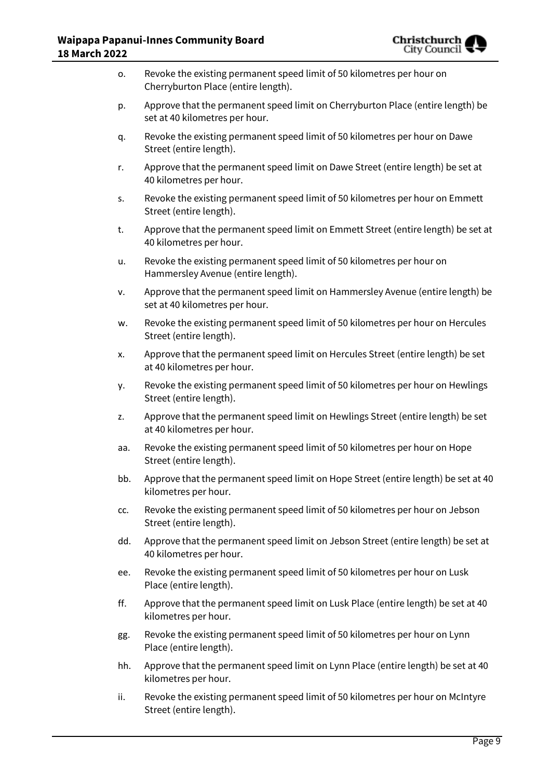

| 0.  | Revoke the existing permanent speed limit of 50 kilometres per hour on<br>Cherryburton Place (entire length).     |
|-----|-------------------------------------------------------------------------------------------------------------------|
| p.  | Approve that the permanent speed limit on Cherryburton Place (entire length) be<br>set at 40 kilometres per hour. |
| q.  | Revoke the existing permanent speed limit of 50 kilometres per hour on Dawe<br>Street (entire length).            |
| r.  | Approve that the permanent speed limit on Dawe Street (entire length) be set at<br>40 kilometres per hour.        |
| S.  | Revoke the existing permanent speed limit of 50 kilometres per hour on Emmett<br>Street (entire length).          |
| t.  | Approve that the permanent speed limit on Emmett Street (entire length) be set at<br>40 kilometres per hour.      |
| u.  | Revoke the existing permanent speed limit of 50 kilometres per hour on<br>Hammersley Avenue (entire length).      |
| v.  | Approve that the permanent speed limit on Hammersley Avenue (entire length) be<br>set at 40 kilometres per hour.  |
| w.  | Revoke the existing permanent speed limit of 50 kilometres per hour on Hercules<br>Street (entire length).        |
| х.  | Approve that the permanent speed limit on Hercules Street (entire length) be set<br>at 40 kilometres per hour.    |
| у.  | Revoke the existing permanent speed limit of 50 kilometres per hour on Hewlings<br>Street (entire length).        |
| z.  | Approve that the permanent speed limit on Hewlings Street (entire length) be set<br>at 40 kilometres per hour.    |
| aa. | Revoke the existing permanent speed limit of 50 kilometres per hour on Hope<br>Street (entire length).            |
| bb. | Approve that the permanent speed limit on Hope Street (entire length) be set at 40<br>kilometres per hour.        |
| CC. | Revoke the existing permanent speed limit of 50 kilometres per hour on Jebson<br>Street (entire length).          |
| dd. | Approve that the permanent speed limit on Jebson Street (entire length) be set at<br>40 kilometres per hour.      |
| ee. | Revoke the existing permanent speed limit of 50 kilometres per hour on Lusk<br>Place (entire length).             |
| ff. | Approve that the permanent speed limit on Lusk Place (entire length) be set at 40<br>kilometres per hour.         |
| gg. | Revoke the existing permanent speed limit of 50 kilometres per hour on Lynn<br>Place (entire length).             |
| hh. | Approve that the permanent speed limit on Lynn Place (entire length) be set at 40<br>kilometres per hour.         |
| ii. | Revoke the existing permanent speed limit of 50 kilometres per hour on McIntyre<br>Street (entire length).        |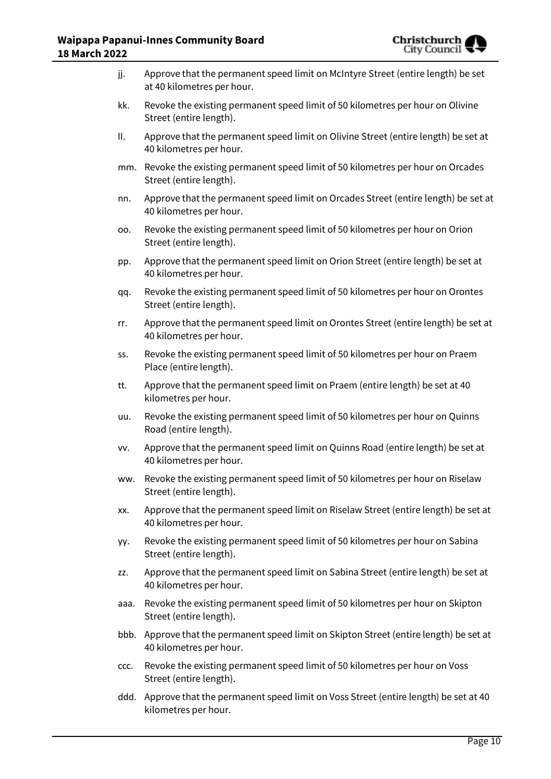

| jj.  | Approve that the permanent speed limit on McIntyre Street (entire length) be set<br>at 40 kilometres per hour. |
|------|----------------------------------------------------------------------------------------------------------------|
| kk.  | Revoke the existing permanent speed limit of 50 kilometres per hour on Olivine<br>Street (entire length).      |
| ΙΙ.  | Approve that the permanent speed limit on Olivine Street (entire length) be set at<br>40 kilometres per hour.  |
|      | mm. Revoke the existing permanent speed limit of 50 kilometres per hour on Orcades<br>Street (entire length).  |
| nn.  | Approve that the permanent speed limit on Orcades Street (entire length) be set at<br>40 kilometres per hour.  |
| 00.  | Revoke the existing permanent speed limit of 50 kilometres per hour on Orion<br>Street (entire length).        |
| pp.  | Approve that the permanent speed limit on Orion Street (entire length) be set at<br>40 kilometres per hour.    |
| qq.  | Revoke the existing permanent speed limit of 50 kilometres per hour on Orontes<br>Street (entire length).      |
| rr.  | Approve that the permanent speed limit on Orontes Street (entire length) be set at<br>40 kilometres per hour.  |
| SS.  | Revoke the existing permanent speed limit of 50 kilometres per hour on Praem<br>Place (entire length).         |
| tt.  | Approve that the permanent speed limit on Praem (entire length) be set at 40<br>kilometres per hour.           |
| uu.  | Revoke the existing permanent speed limit of 50 kilometres per hour on Quinns<br>Road (entire length).         |
| VV.  | Approve that the permanent speed limit on Quinns Road (entire length) be set at<br>40 kilometres per hour.     |
| ww.  | Revoke the existing permanent speed limit of 50 kilometres per hour on Riselaw<br>Street (entire length).      |
| XX.  | Approve that the permanent speed limit on Riselaw Street (entire length) be set at<br>40 kilometres per hour.  |
| yy.  | Revoke the existing permanent speed limit of 50 kilometres per hour on Sabina<br>Street (entire length).       |
| ZZ.  | Approve that the permanent speed limit on Sabina Street (entire length) be set at<br>40 kilometres per hour.   |
| aaa. | Revoke the existing permanent speed limit of 50 kilometres per hour on Skipton<br>Street (entire length).      |
| bbb. | Approve that the permanent speed limit on Skipton Street (entire length) be set at<br>40 kilometres per hour.  |
| CCC. | Revoke the existing permanent speed limit of 50 kilometres per hour on Voss<br>Street (entire length).         |
| ddd. | Approve that the permanent speed limit on Voss Street (entire length) be set at 40                             |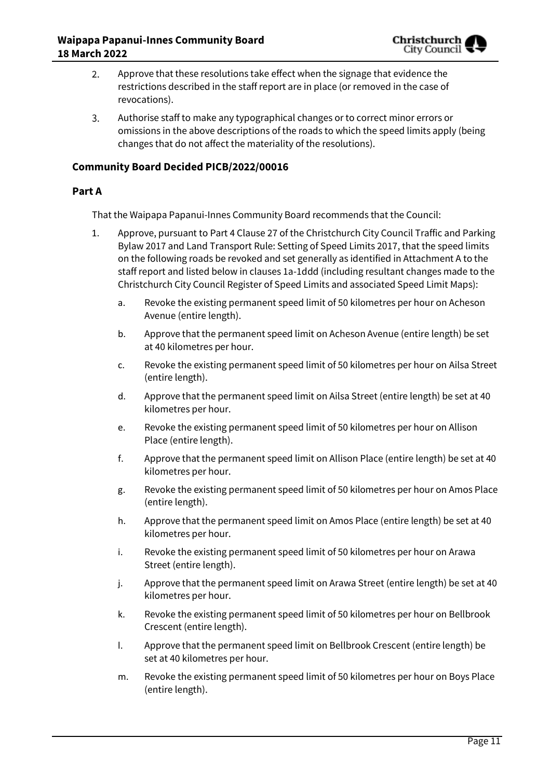

- Approve that these resolutions take effect when the signage that evidence the 2. restrictions described in the staff report are in place (or removed in the case of revocations).
- $\overline{3}$ . Authorise staff to make any typographical changes or to correct minor errors or omissions in the above descriptions of the roads to which the speed limits apply (being changes that do not affect the materiality of the resolutions).

#### **Community Board Decided PICB/2022/00016**

#### **Part A**

That the Waipapa Papanui-Innes Community Board recommends that the Council:

- 1. Approve, pursuant to Part 4 Clause 27 of the Christchurch City Council Traffic and Parking Bylaw 2017 and Land Transport Rule: Setting of Speed Limits 2017, that the speed limits on the following roads be revoked and set generally as identified in Attachment A to the staff report and listed below in clauses 1a-1ddd (including resultant changes made to the Christchurch City Council Register of Speed Limits and associated Speed Limit Maps):
	- a. Revoke the existing permanent speed limit of 50 kilometres per hour on Acheson Avenue (entire length).
	- b. Approve that the permanent speed limit on Acheson Avenue (entire length) be set at 40 kilometres per hour.
	- c. Revoke the existing permanent speed limit of 50 kilometres per hour on Ailsa Street (entire length).
	- d. Approve that the permanent speed limit on Ailsa Street (entire length) be set at 40 kilometres per hour.
	- e. Revoke the existing permanent speed limit of 50 kilometres per hour on Allison Place (entire length).
	- f. Approve that the permanent speed limit on Allison Place (entire length) be set at 40 kilometres per hour.
	- g. Revoke the existing permanent speed limit of 50 kilometres per hour on Amos Place (entire length).
	- h. Approve that the permanent speed limit on Amos Place (entire length) be set at 40 kilometres per hour.
	- i. Revoke the existing permanent speed limit of 50 kilometres per hour on Arawa Street (entire length).
	- j. Approve that the permanent speed limit on Arawa Street (entire length) be set at 40 kilometres per hour.
	- k. Revoke the existing permanent speed limit of 50 kilometres per hour on Bellbrook Crescent (entire length).
	- l. Approve that the permanent speed limit on Bellbrook Crescent (entire length) be set at 40 kilometres per hour.
	- m. Revoke the existing permanent speed limit of 50 kilometres per hour on Boys Place (entire length).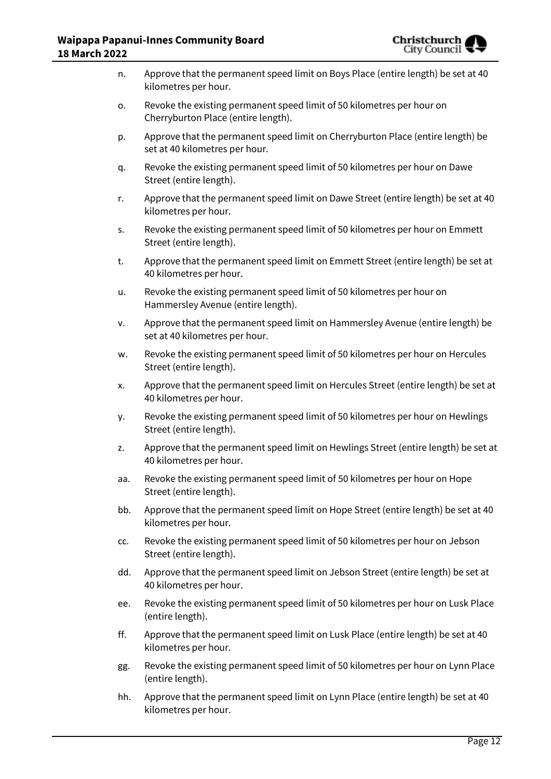

| n.  | Approve that the permanent speed limit on Boys Place (entire length) be set at 40<br>kilometres per hour.         |
|-----|-------------------------------------------------------------------------------------------------------------------|
| о.  | Revoke the existing permanent speed limit of 50 kilometres per hour on<br>Cherryburton Place (entire length).     |
| p.  | Approve that the permanent speed limit on Cherryburton Place (entire length) be<br>set at 40 kilometres per hour. |
| q.  | Revoke the existing permanent speed limit of 50 kilometres per hour on Dawe<br>Street (entire length).            |
| r.  | Approve that the permanent speed limit on Dawe Street (entire length) be set at 40<br>kilometres per hour.        |
| s.  | Revoke the existing permanent speed limit of 50 kilometres per hour on Emmett<br>Street (entire length).          |
| t.  | Approve that the permanent speed limit on Emmett Street (entire length) be set at<br>40 kilometres per hour.      |
| u.  | Revoke the existing permanent speed limit of 50 kilometres per hour on<br>Hammersley Avenue (entire length).      |
| ٧.  | Approve that the permanent speed limit on Hammersley Avenue (entire length) be<br>set at 40 kilometres per hour.  |
| w.  | Revoke the existing permanent speed limit of 50 kilometres per hour on Hercules<br>Street (entire length).        |
| Х.  | Approve that the permanent speed limit on Hercules Street (entire length) be set at<br>40 kilometres per hour.    |
| у.  | Revoke the existing permanent speed limit of 50 kilometres per hour on Hewlings<br>Street (entire length).        |
| z.  | Approve that the permanent speed limit on Hewlings Street (entire length) be set at<br>40 kilometres per hour.    |
| aa. | Revoke the existing permanent speed limit of 50 kilometres per hour on Hope<br>Street (entire length).            |
| bb. | Approve that the permanent speed limit on Hope Street (entire length) be set at 40<br>kilometres per hour.        |
| CC. | Revoke the existing permanent speed limit of 50 kilometres per hour on Jebson<br>Street (entire length).          |
| dd. | Approve that the permanent speed limit on Jebson Street (entire length) be set at<br>40 kilometres per hour.      |
| ee. | Revoke the existing permanent speed limit of 50 kilometres per hour on Lusk Place<br>(entire length).             |
| ff. | Approve that the permanent speed limit on Lusk Place (entire length) be set at 40<br>kilometres per hour.         |
| gg. | Revoke the existing permanent speed limit of 50 kilometres per hour on Lynn Place<br>(entire length).             |
| hh. | Approve that the permanent speed limit on Lynn Place (entire length) be set at 40<br>kilometres per hour.         |
|     |                                                                                                                   |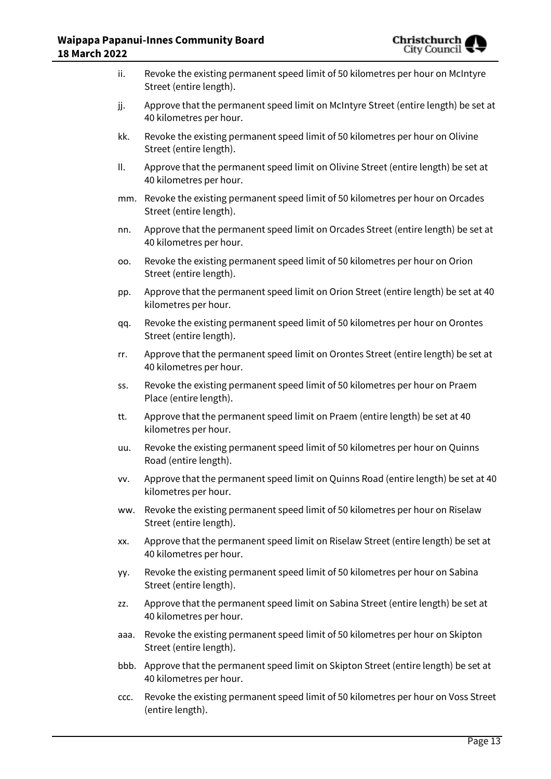

| ii.  | Revoke the existing permanent speed limit of 50 kilometres per hour on McIntyre<br>Street (entire length).     |
|------|----------------------------------------------------------------------------------------------------------------|
| jj.  | Approve that the permanent speed limit on McIntyre Street (entire length) be set at<br>40 kilometres per hour. |
| kk.  | Revoke the existing permanent speed limit of 50 kilometres per hour on Olivine<br>Street (entire length).      |
| ΙΙ.  | Approve that the permanent speed limit on Olivine Street (entire length) be set at<br>40 kilometres per hour.  |
|      | mm. Revoke the existing permanent speed limit of 50 kilometres per hour on Orcades<br>Street (entire length).  |
| nn.  | Approve that the permanent speed limit on Orcades Street (entire length) be set at<br>40 kilometres per hour.  |
| 00.  | Revoke the existing permanent speed limit of 50 kilometres per hour on Orion<br>Street (entire length).        |
| pp.  | Approve that the permanent speed limit on Orion Street (entire length) be set at 40<br>kilometres per hour.    |
| qq.  | Revoke the existing permanent speed limit of 50 kilometres per hour on Orontes<br>Street (entire length).      |
| rr.  | Approve that the permanent speed limit on Orontes Street (entire length) be set at<br>40 kilometres per hour.  |
| SS.  | Revoke the existing permanent speed limit of 50 kilometres per hour on Praem<br>Place (entire length).         |
| tt.  | Approve that the permanent speed limit on Praem (entire length) be set at 40<br>kilometres per hour.           |
| uu.  | Revoke the existing permanent speed limit of 50 kilometres per hour on Quinns<br>Road (entire length).         |
| VV.  | Approve that the permanent speed limit on Quinns Road (entire length) be set at 40<br>kilometres per hour.     |
| ww.  | Revoke the existing permanent speed limit of 50 kilometres per hour on Riselaw<br>Street (entire length).      |
| XX.  | Approve that the permanent speed limit on Riselaw Street (entire length) be set at<br>40 kilometres per hour.  |
| yy.  | Revoke the existing permanent speed limit of 50 kilometres per hour on Sabina<br>Street (entire length).       |
| ZZ.  | Approve that the permanent speed limit on Sabina Street (entire length) be set at<br>40 kilometres per hour.   |
| aaa. | Revoke the existing permanent speed limit of 50 kilometres per hour on Skipton<br>Street (entire length).      |
| bbb. | Approve that the permanent speed limit on Skipton Street (entire length) be set at<br>40 kilometres per hour.  |
| CCC. | Revoke the existing permanent speed limit of 50 kilometres per hour on Voss Street<br>(entire length).         |
|      |                                                                                                                |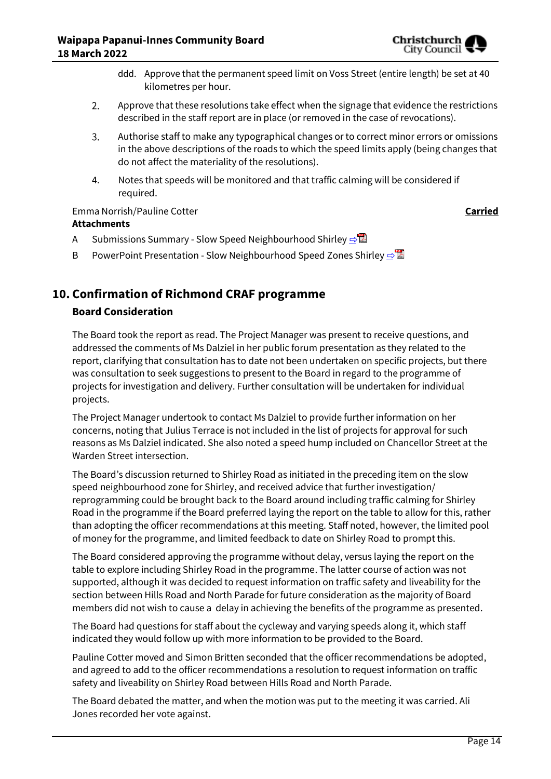

- ddd. Approve that the permanent speed limit on Voss Street (entire length) be set at 40 kilometres per hour.
- 2. Approve that these resolutions take effect when the signage that evidence the restrictions described in the staff report are in place (or removed in the case of revocations).
- 3. Authorise staff to make any typographical changes or to correct minor errors or omissions in the above descriptions of the roads to which the speed limits apply (being changes that do not affect the materiality of the resolutions).
- 4. Notes that speeds will be monitored and that traffic calming will be considered if required.

Emma Norrish/Pauline Cotter **Carried Attachments**

- A Submissions Summary Slow Speed Neighbourhood Shirley **[⇨](../../../RedirectToInvalidFileName.aspx?FileName=PICB_20220318_MAT_7645.PDF#PAGE=1)</u> </u>**
- B PowerPoint Presentation Slow Neighbourhood Speed Zones Shirley **[⇨](../../../RedirectToInvalidFileName.aspx?FileName=PICB_20220318_MAT_7645.PDF#PAGE=1)**

# **10. Confirmation of Richmond CRAF programme**

### **Board Consideration**

The Board took the report as read. The Project Manager was present to receive questions, and addressed the comments of Ms Dalziel in her public forum presentation as they related to the report, clarifying that consultation has to date not been undertaken on specific projects, but there was consultation to seek suggestions to present to the Board in regard to the programme of projects for investigation and delivery. Further consultation will be undertaken for individual projects.

The Project Manager undertook to contact Ms Dalziel to provide further information on her concerns, noting that Julius Terrace is not included in the list of projects for approval for such reasons as Ms Dalziel indicated. She also noted a speed hump included on Chancellor Street at the Warden Street intersection.

The Board's discussion returned to Shirley Road as initiated in the preceding item on the slow speed neighbourhood zone for Shirley, and received advice that further investigation/ reprogramming could be brought back to the Board around including traffic calming for Shirley Road in the programme if the Board preferred laying the report on the table to allow for this, rather than adopting the officer recommendations at this meeting. Staff noted, however, the limited pool of money for the programme, and limited feedback to date on Shirley Road to prompt this.

The Board considered approving the programme without delay, versus laying the report on the table to explore including Shirley Road in the programme. The latter course of action was not supported, although it was decided to request information on traffic safety and liveability for the section between Hills Road and North Parade for future consideration as the majority of Board members did not wish to cause a delay in achieving the benefits of the programme as presented.

The Board had questions for staff about the cycleway and varying speeds along it, which staff indicated they would follow up with more information to be provided to the Board.

Pauline Cotter moved and Simon Britten seconded that the officer recommendations be adopted, and agreed to add to the officer recommendations a resolution to request information on traffic safety and liveability on Shirley Road between Hills Road and North Parade.

The Board debated the matter, and when the motion was put to the meeting it was carried. Ali Jones recorded her vote against.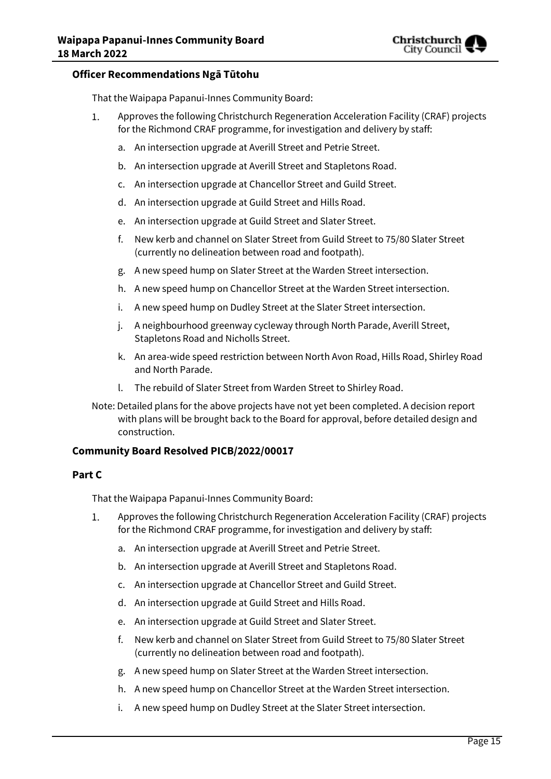

#### **Officer Recommendations Ngā Tūtohu**

That the Waipapa Papanui-Innes Community Board:

- $1.$ Approves the following Christchurch Regeneration Acceleration Facility (CRAF) projects for the Richmond CRAF programme, for investigation and delivery by staff:
	- a. An intersection upgrade at Averill Street and Petrie Street.
	- b. An intersection upgrade at Averill Street and Stapletons Road.
	- c. An intersection upgrade at Chancellor Street and Guild Street.
	- d. An intersection upgrade at Guild Street and Hills Road.
	- e. An intersection upgrade at Guild Street and Slater Street.
	- f. New kerb and channel on Slater Street from Guild Street to 75/80 Slater Street (currently no delineation between road and footpath).
	- g. A new speed hump on Slater Street at the Warden Street intersection.
	- h. A new speed hump on Chancellor Street at the Warden Street intersection.
	- i. A new speed hump on Dudley Street at the Slater Street intersection.
	- j. A neighbourhood greenway cycleway through North Parade, Averill Street, Stapletons Road and Nicholls Street.
	- k. An area-wide speed restriction between North Avon Road, Hills Road, Shirley Road and North Parade.
	- l. The rebuild of Slater Street from Warden Street to Shirley Road.
- Note: Detailed plans for the above projects have not yet been completed. A decision report with plans will be brought back to the Board for approval, before detailed design and construction.

#### **Community Board Resolved PICB/2022/00017**

#### **Part C**

That the Waipapa Papanui-Innes Community Board:

- 1. Approves the following Christchurch Regeneration Acceleration Facility (CRAF) projects for the Richmond CRAF programme, for investigation and delivery by staff:
	- a. An intersection upgrade at Averill Street and Petrie Street.
	- b. An intersection upgrade at Averill Street and Stapletons Road.
	- c. An intersection upgrade at Chancellor Street and Guild Street.
	- d. An intersection upgrade at Guild Street and Hills Road.
	- e. An intersection upgrade at Guild Street and Slater Street.
	- f. New kerb and channel on Slater Street from Guild Street to 75/80 Slater Street (currently no delineation between road and footpath).
	- g. A new speed hump on Slater Street at the Warden Street intersection.
	- h. A new speed hump on Chancellor Street at the Warden Street intersection.
	- i. A new speed hump on Dudley Street at the Slater Street intersection.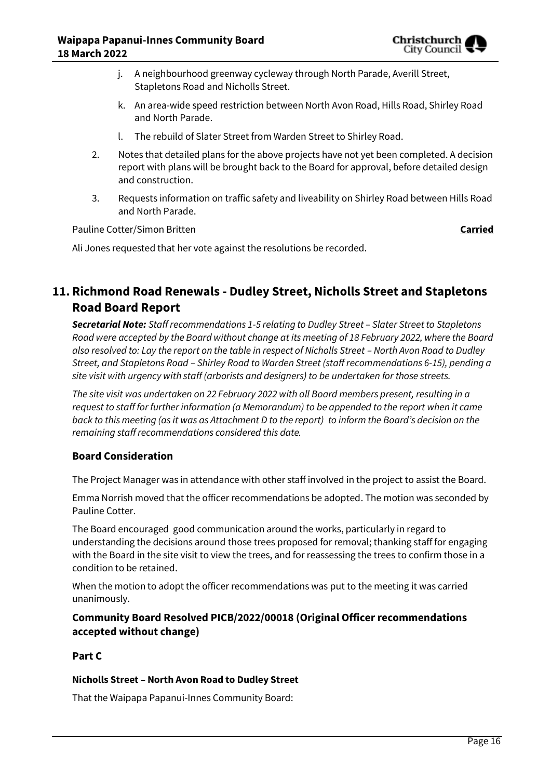

- j. A neighbourhood greenway cycleway through North Parade, Averill Street, Stapletons Road and Nicholls Street.
- k. An area-wide speed restriction between North Avon Road, Hills Road, Shirley Road and North Parade.
- l. The rebuild of Slater Street from Warden Street to Shirley Road.
- 2. Notes that detailed plans for the above projects have not yet been completed. A decision report with plans will be brought back to the Board for approval, before detailed design and construction.
- 3. Requests information on traffic safety and liveability on Shirley Road between Hills Road and North Parade.

Pauline Cotter/Simon Britten **Carried** 

Ali Jones requested that her vote against the resolutions be recorded.

# **11. Richmond Road Renewals - Dudley Street, Nicholls Street and Stapletons Road Board Report**

*Secretarial Note: Staff recommendations 1-5 relating to Dudley Street – Slater Street to Stapletons Road were accepted by the Board without change at its meeting of 18 February 2022, where the Board also resolved to: Lay the report on the table in respect of Nicholls Street – North Avon Road to Dudley Street, and Stapletons Road – Shirley Road to Warden Street (staff recommendations 6-15), pending a site visit with urgency with staff (arborists and designers) to be undertaken for those streets.*

*The site visit was undertaken on 22 February 2022 with all Board members present, resulting in a request to staff for further information (a Memorandum) to be appended to the report when it came back to this meeting (as it was as Attachment D to the report) to inform the Board's decision on the remaining staff recommendations considered this date.*

#### **Board Consideration**

The Project Manager was in attendance with other staff involved in the project to assist the Board.

Emma Norrish moved that the officer recommendations be adopted. The motion was seconded by Pauline Cotter.

The Board encouraged good communication around the works, particularly in regard to understanding the decisions around those trees proposed for removal; thanking staff for engaging with the Board in the site visit to view the trees, and for reassessing the trees to confirm those in a condition to be retained.

When the motion to adopt the officer recommendations was put to the meeting it was carried unanimously.

#### **Community Board Resolved PICB/2022/00018 (Original Officer recommendations accepted without change)**

#### **Part C**

#### **Nicholls Street – North Avon Road to Dudley Street**

That the Waipapa Papanui-Innes Community Board: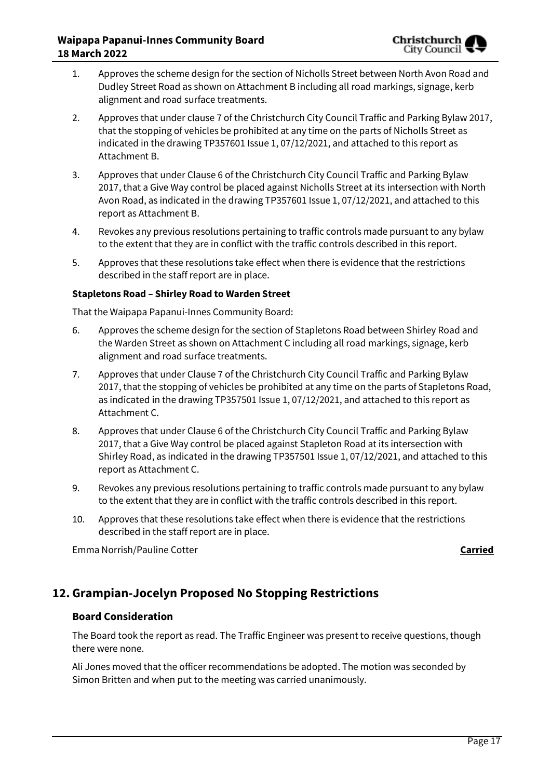- 1. Approves the scheme design for the section of Nicholls Street between North Avon Road and Dudley Street Road as shown on Attachment B including all road markings, signage, kerb alignment and road surface treatments.
- 2. Approves that under clause 7 of the Christchurch City Council Traffic and Parking Bylaw 2017, that the stopping of vehicles be prohibited at any time on the parts of Nicholls Street as indicated in the drawing TP357601 Issue 1, 07/12/2021, and attached to this report as Attachment B.
- 3. Approves that under Clause 6 of the Christchurch City Council Traffic and Parking Bylaw 2017, that a Give Way control be placed against Nicholls Street at its intersection with North Avon Road, as indicated in the drawing TP357601 Issue 1, 07/12/2021, and attached to this report as Attachment B.
- 4. Revokes any previous resolutions pertaining to traffic controls made pursuant to any bylaw to the extent that they are in conflict with the traffic controls described in this report.
- 5. Approves that these resolutions take effect when there is evidence that the restrictions described in the staff report are in place.

#### **Stapletons Road – Shirley Road to Warden Street**

That the Waipapa Papanui-Innes Community Board:

- 6. Approves the scheme design for the section of Stapletons Road between Shirley Road and the Warden Street as shown on Attachment C including all road markings, signage, kerb alignment and road surface treatments.
- 7. Approves that under Clause 7 of the Christchurch City Council Traffic and Parking Bylaw 2017, that the stopping of vehicles be prohibited at any time on the parts of Stapletons Road, as indicated in the drawing TP357501 Issue 1, 07/12/2021, and attached to this report as Attachment C.
- 8. Approves that under Clause 6 of the Christchurch City Council Traffic and Parking Bylaw 2017, that a Give Way control be placed against Stapleton Road at its intersection with Shirley Road, as indicated in the drawing TP357501 Issue 1, 07/12/2021, and attached to this report as Attachment C.
- 9. Revokes any previous resolutions pertaining to traffic controls made pursuant to any bylaw to the extent that they are in conflict with the traffic controls described in this report.
- 10. Approves that these resolutions take effect when there is evidence that the restrictions described in the staff report are in place.

Emma Norrish/Pauline Cotter **Carried**

# **12. Grampian-Jocelyn Proposed No Stopping Restrictions**

#### **Board Consideration**

The Board took the report as read. The Traffic Engineer was present to receive questions, though there were none.

Ali Jones moved that the officer recommendations be adopted. The motion was seconded by Simon Britten and when put to the meeting was carried unanimously.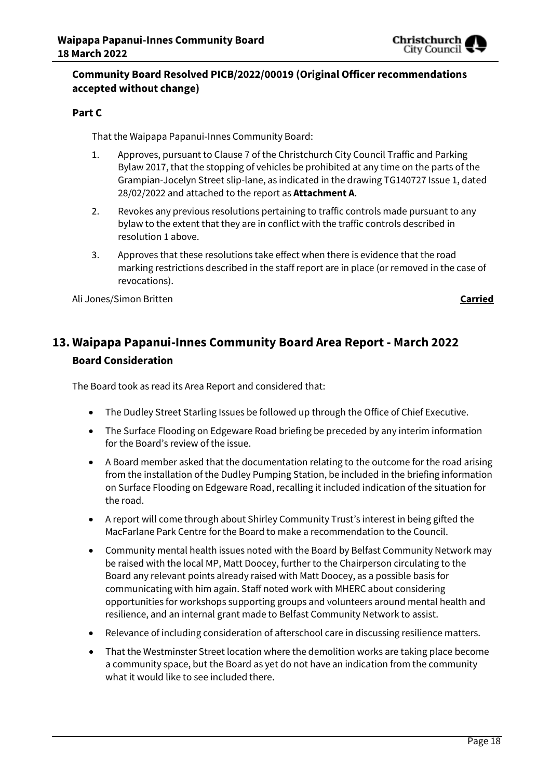

### **Community Board Resolved PICB/2022/00019 (Original Officer recommendations accepted without change)**

#### **Part C**

That the Waipapa Papanui-Innes Community Board:

- 1. Approves, pursuant to Clause 7 of the Christchurch City Council Traffic and Parking Bylaw 2017, that the stopping of vehicles be prohibited at any time on the parts of the Grampian-Jocelyn Street slip-lane, as indicated in the drawing TG140727 Issue 1, dated 28/02/2022 and attached to the report as **Attachment A**.
- 2. Revokes any previous resolutions pertaining to traffic controls made pursuant to any bylaw to the extent that they are in conflict with the traffic controls described in resolution 1 above.
- 3. Approves that these resolutions take effect when there is evidence that the road marking restrictions described in the staff report are in place (or removed in the case of revocations).

Ali Jones/Simon Britten **Carried**

# **13. Waipapa Papanui-Innes Community Board Area Report - March 2022 Board Consideration**

The Board took as read its Area Report and considered that:

- The Dudley Street Starling Issues be followed up through the Office of Chief Executive.
- The Surface Flooding on Edgeware Road briefing be preceded by any interim information for the Board's review of the issue.
- A Board member asked that the documentation relating to the outcome for the road arising from the installation of the Dudley Pumping Station, be included in the briefing information on Surface Flooding on Edgeware Road, recalling it included indication of the situation for the road.
- A report will come through about Shirley Community Trust's interest in being gifted the MacFarlane Park Centre for the Board to make a recommendation to the Council.
- Community mental health issues noted with the Board by Belfast Community Network may be raised with the local MP, Matt Doocey, further to the Chairperson circulating to the Board any relevant points already raised with Matt Doocey, as a possible basis for communicating with him again. Staff noted work with MHERC about considering opportunities for workshops supporting groups and volunteers around mental health and resilience, and an internal grant made to Belfast Community Network to assist.
- Relevance of including consideration of afterschool care in discussing resilience matters.
- That the Westminster Street location where the demolition works are taking place become a community space, but the Board as yet do not have an indication from the community what it would like to see included there.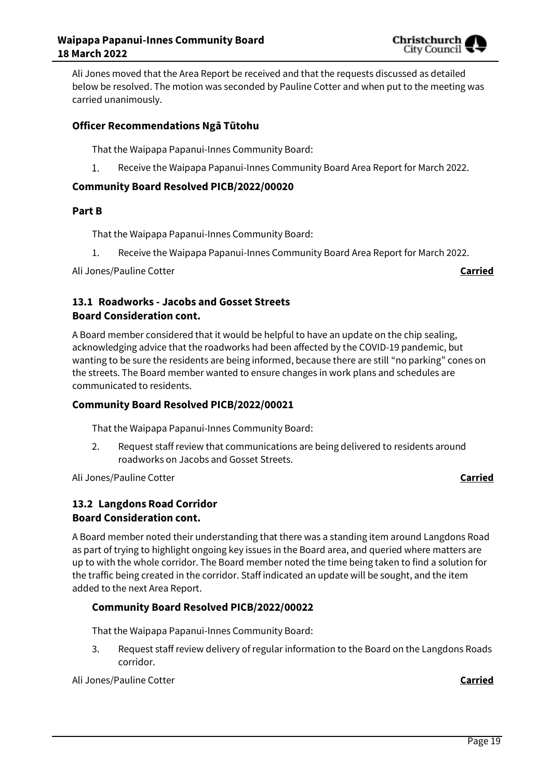

Ali Jones moved that the Area Report be received and that the requests discussed as detailed below be resolved. The motion was seconded by Pauline Cotter and when put to the meeting was carried unanimously.

#### **Officer Recommendations Ngā Tūtohu**

That the Waipapa Papanui-Innes Community Board:

 $\mathbf{1}$ . Receive the Waipapa Papanui-Innes Community Board Area Report for March 2022.

#### **Community Board Resolved PICB/2022/00020**

#### **Part B**

That the Waipapa Papanui-Innes Community Board:

1. Receive the Waipapa Papanui-Innes Community Board Area Report for March 2022.

Ali Jones/Pauline Cotter **Carried**

### **13.1 Roadworks - Jacobs and Gosset Streets Board Consideration cont.**

A Board member considered that it would be helpful to have an update on the chip sealing, acknowledging advice that the roadworks had been affected by the COVID-19 pandemic, but wanting to be sure the residents are being informed, because there are still "no parking" cones on the streets. The Board member wanted to ensure changes in work plans and schedules are communicated to residents.

#### **Community Board Resolved PICB/2022/00021**

That the Waipapa Papanui-Innes Community Board:

2. Request staff review that communications are being delivered to residents around roadworks on Jacobs and Gosset Streets.

Ali Jones/Pauline Cotter **Carried**

### **13.2 Langdons Road Corridor Board Consideration cont.**

A Board member noted their understanding that there was a standing item around Langdons Road as part of trying to highlight ongoing key issues in the Board area, and queried where matters are up to with the whole corridor. The Board member noted the time being taken to find a solution for the traffic being created in the corridor. Staff indicated an update will be sought, and the item added to the next Area Report.

#### **Community Board Resolved PICB/2022/00022**

That the Waipapa Papanui-Innes Community Board:

3. Request staff review delivery of regular information to the Board on the Langdons Roads corridor.

Ali Jones/Pauline Cotter **Carried**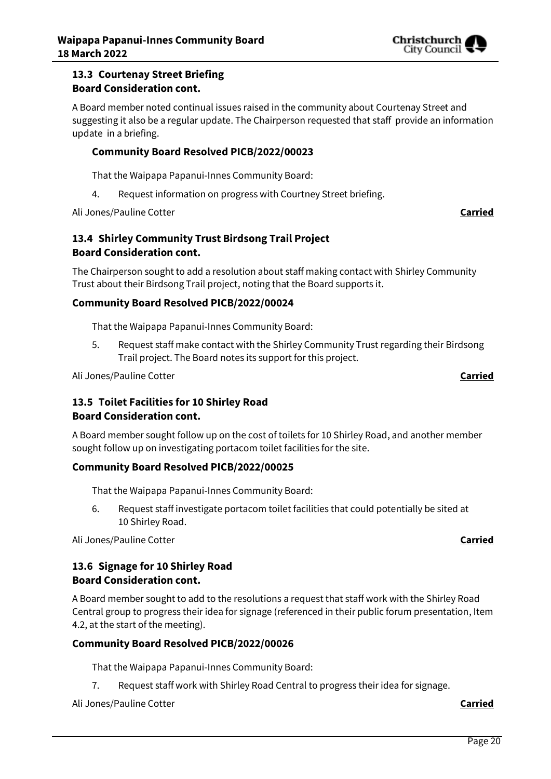

#### **13.3 Courtenay Street Briefing Board Consideration cont.**

A Board member noted continual issues raised in the community about Courtenay Street and suggesting it also be a regular update. The Chairperson requested that staff provide an information update in a briefing.

#### **Community Board Resolved PICB/2022/00023**

That the Waipapa Papanui-Innes Community Board:

4. Request information on progress with Courtney Street briefing.

Ali Jones/Pauline Cotter **Carried**

### **13.4 Shirley Community Trust Birdsong Trail Project Board Consideration cont.**

The Chairperson sought to add a resolution about staff making contact with Shirley Community Trust about their Birdsong Trail project, noting that the Board supports it.

### **Community Board Resolved PICB/2022/00024**

That the Waipapa Papanui-Innes Community Board:

5. Request staff make contact with the Shirley Community Trust regarding their Birdsong Trail project. The Board notes its support for this project.

Ali Jones/Pauline Cotter **Carried**

#### **13.5 Toilet Facilities for 10 Shirley Road**

#### **Board Consideration cont.**

A Board member sought follow up on the cost of toilets for 10 Shirley Road, and another member sought follow up on investigating portacom toilet facilities for the site.

#### **Community Board Resolved PICB/2022/00025**

That the Waipapa Papanui-Innes Community Board:

6. Request staff investigate portacom toilet facilities that could potentially be sited at 10 Shirley Road.

Ali Jones/Pauline Cotter **Carried**

### **13.6 Signage for 10 Shirley Road Board Consideration cont.**

A Board member sought to add to the resolutions a request that staff work with the Shirley Road Central group to progress their idea for signage (referenced in their public forum presentation, Item 4.2, at the start of the meeting).

#### **Community Board Resolved PICB/2022/00026**

That the Waipapa Papanui-Innes Community Board:

7. Request staff work with Shirley Road Central to progress their idea for signage.

Ali Jones/Pauline Cotter **Carried**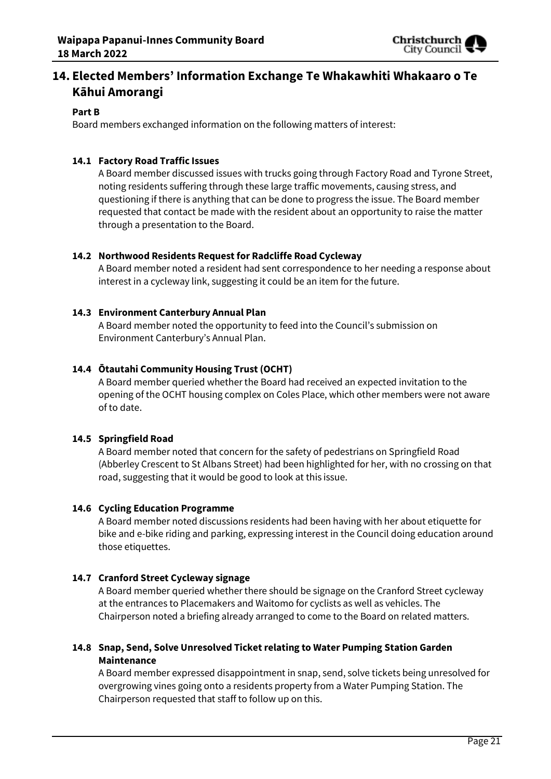

# **14. Elected Members' Information Exchange Te Whakawhiti Whakaaro o Te Kāhui Amorangi**

#### **Part B**

Board members exchanged information on the following matters of interest:

#### **14.1 Factory Road Traffic Issues**

A Board member discussed issues with trucks going through Factory Road and Tyrone Street, noting residents suffering through these large traffic movements, causing stress, and questioning if there is anything that can be done to progress the issue. The Board member requested that contact be made with the resident about an opportunity to raise the matter through a presentation to the Board.

#### **14.2 Northwood Residents Request for Radcliffe Road Cycleway**

A Board member noted a resident had sent correspondence to her needing a response about interest in a cycleway link, suggesting it could be an item for the future.

#### **14.3 Environment Canterbury Annual Plan**

A Board member noted the opportunity to feed into the Council's submission on Environment Canterbury's Annual Plan.

#### **14.4 Ōtautahi Community Housing Trust (OCHT)**

A Board member queried whether the Board had received an expected invitation to the opening of the OCHT housing complex on Coles Place, which other members were not aware of to date.

#### **14.5 Springfield Road**

A Board member noted that concern for the safety of pedestrians on Springfield Road (Abberley Crescent to St Albans Street) had been highlighted for her, with no crossing on that road, suggesting that it would be good to look at this issue.

#### **14.6 Cycling Education Programme**

A Board member noted discussions residents had been having with her about etiquette for bike and e-bike riding and parking, expressing interest in the Council doing education around those etiquettes.

#### **14.7 Cranford Street Cycleway signage**

A Board member queried whether there should be signage on the Cranford Street cycleway at the entrances to Placemakers and Waitomo for cyclists as well as vehicles. The Chairperson noted a briefing already arranged to come to the Board on related matters.

#### **14.8 Snap, Send, Solve Unresolved Ticket relating to Water Pumping Station Garden Maintenance**

A Board member expressed disappointment in snap, send, solve tickets being unresolved for overgrowing vines going onto a residents property from a Water Pumping Station. The Chairperson requested that staff to follow up on this.